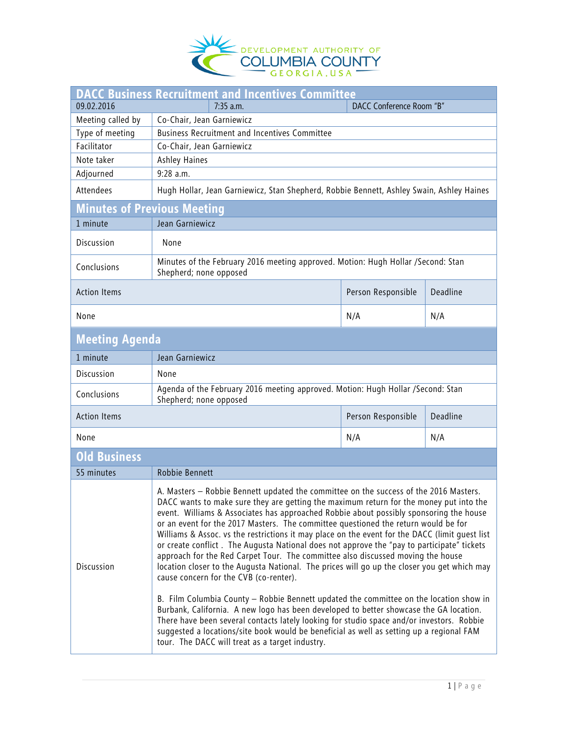

| <b>DACC Business Recruitment and Incentives Committee</b> |                                                                                                                                                                                                                                                                                                                                                                                                                                                                                                                                                                                                                                                                                                                                                                                                                                                                                                                                                                                                                                                                                                                                                                                                                             |                    |          |  |
|-----------------------------------------------------------|-----------------------------------------------------------------------------------------------------------------------------------------------------------------------------------------------------------------------------------------------------------------------------------------------------------------------------------------------------------------------------------------------------------------------------------------------------------------------------------------------------------------------------------------------------------------------------------------------------------------------------------------------------------------------------------------------------------------------------------------------------------------------------------------------------------------------------------------------------------------------------------------------------------------------------------------------------------------------------------------------------------------------------------------------------------------------------------------------------------------------------------------------------------------------------------------------------------------------------|--------------------|----------|--|
| 09.02.2016                                                | 7:35 a.m.<br>DACC Conference Room "B"                                                                                                                                                                                                                                                                                                                                                                                                                                                                                                                                                                                                                                                                                                                                                                                                                                                                                                                                                                                                                                                                                                                                                                                       |                    |          |  |
| Meeting called by                                         | Co-Chair, Jean Garniewicz                                                                                                                                                                                                                                                                                                                                                                                                                                                                                                                                                                                                                                                                                                                                                                                                                                                                                                                                                                                                                                                                                                                                                                                                   |                    |          |  |
| Type of meeting                                           | <b>Business Recruitment and Incentives Committee</b>                                                                                                                                                                                                                                                                                                                                                                                                                                                                                                                                                                                                                                                                                                                                                                                                                                                                                                                                                                                                                                                                                                                                                                        |                    |          |  |
| Facilitator                                               | Co-Chair, Jean Garniewicz                                                                                                                                                                                                                                                                                                                                                                                                                                                                                                                                                                                                                                                                                                                                                                                                                                                                                                                                                                                                                                                                                                                                                                                                   |                    |          |  |
| Note taker                                                | Ashley Haines                                                                                                                                                                                                                                                                                                                                                                                                                                                                                                                                                                                                                                                                                                                                                                                                                                                                                                                                                                                                                                                                                                                                                                                                               |                    |          |  |
| Adjourned                                                 | $9:28$ a.m.                                                                                                                                                                                                                                                                                                                                                                                                                                                                                                                                                                                                                                                                                                                                                                                                                                                                                                                                                                                                                                                                                                                                                                                                                 |                    |          |  |
| Attendees                                                 | Hugh Hollar, Jean Garniewicz, Stan Shepherd, Robbie Bennett, Ashley Swain, Ashley Haines                                                                                                                                                                                                                                                                                                                                                                                                                                                                                                                                                                                                                                                                                                                                                                                                                                                                                                                                                                                                                                                                                                                                    |                    |          |  |
| <b>Minutes of Previous Meeting</b>                        |                                                                                                                                                                                                                                                                                                                                                                                                                                                                                                                                                                                                                                                                                                                                                                                                                                                                                                                                                                                                                                                                                                                                                                                                                             |                    |          |  |
| 1 minute                                                  | Jean Garniewicz                                                                                                                                                                                                                                                                                                                                                                                                                                                                                                                                                                                                                                                                                                                                                                                                                                                                                                                                                                                                                                                                                                                                                                                                             |                    |          |  |
| Discussion                                                | None                                                                                                                                                                                                                                                                                                                                                                                                                                                                                                                                                                                                                                                                                                                                                                                                                                                                                                                                                                                                                                                                                                                                                                                                                        |                    |          |  |
| Conclusions                                               | Minutes of the February 2016 meeting approved. Motion: Hugh Hollar /Second: Stan<br>Shepherd; none opposed                                                                                                                                                                                                                                                                                                                                                                                                                                                                                                                                                                                                                                                                                                                                                                                                                                                                                                                                                                                                                                                                                                                  |                    |          |  |
| <b>Action Items</b>                                       |                                                                                                                                                                                                                                                                                                                                                                                                                                                                                                                                                                                                                                                                                                                                                                                                                                                                                                                                                                                                                                                                                                                                                                                                                             | Person Responsible | Deadline |  |
| None                                                      |                                                                                                                                                                                                                                                                                                                                                                                                                                                                                                                                                                                                                                                                                                                                                                                                                                                                                                                                                                                                                                                                                                                                                                                                                             | N/A                | N/A      |  |
| <b>Meeting Agenda</b>                                     |                                                                                                                                                                                                                                                                                                                                                                                                                                                                                                                                                                                                                                                                                                                                                                                                                                                                                                                                                                                                                                                                                                                                                                                                                             |                    |          |  |
| 1 minute                                                  | Jean Garniewicz                                                                                                                                                                                                                                                                                                                                                                                                                                                                                                                                                                                                                                                                                                                                                                                                                                                                                                                                                                                                                                                                                                                                                                                                             |                    |          |  |
| Discussion                                                | None                                                                                                                                                                                                                                                                                                                                                                                                                                                                                                                                                                                                                                                                                                                                                                                                                                                                                                                                                                                                                                                                                                                                                                                                                        |                    |          |  |
| Conclusions                                               | Agenda of the February 2016 meeting approved. Motion: Hugh Hollar /Second: Stan<br>Shepherd; none opposed                                                                                                                                                                                                                                                                                                                                                                                                                                                                                                                                                                                                                                                                                                                                                                                                                                                                                                                                                                                                                                                                                                                   |                    |          |  |
| <b>Action Items</b>                                       |                                                                                                                                                                                                                                                                                                                                                                                                                                                                                                                                                                                                                                                                                                                                                                                                                                                                                                                                                                                                                                                                                                                                                                                                                             | Person Responsible | Deadline |  |
| None                                                      |                                                                                                                                                                                                                                                                                                                                                                                                                                                                                                                                                                                                                                                                                                                                                                                                                                                                                                                                                                                                                                                                                                                                                                                                                             | N/A                | N/A      |  |
| <b>Old Business</b>                                       |                                                                                                                                                                                                                                                                                                                                                                                                                                                                                                                                                                                                                                                                                                                                                                                                                                                                                                                                                                                                                                                                                                                                                                                                                             |                    |          |  |
| 55 minutes                                                | Robbie Bennett                                                                                                                                                                                                                                                                                                                                                                                                                                                                                                                                                                                                                                                                                                                                                                                                                                                                                                                                                                                                                                                                                                                                                                                                              |                    |          |  |
| Discussion                                                | A. Masters - Robbie Bennett updated the committee on the success of the 2016 Masters.<br>DACC wants to make sure they are getting the maximum return for the money put into the<br>event. Williams & Associates has approached Robbie about possibly sponsoring the house<br>or an event for the 2017 Masters. The committee questioned the return would be for<br>Williams & Assoc. vs the restrictions it may place on the event for the DACC (limit guest list<br>or create conflict. The Augusta National does not approve the "pay to participate" tickets<br>approach for the Red Carpet Tour. The committee also discussed moving the house<br>location closer to the Augusta National. The prices will go up the closer you get which may<br>cause concern for the CVB (co-renter).<br>B. Film Columbia County – Robbie Bennett updated the committee on the location show in<br>Burbank, California. A new logo has been developed to better showcase the GA location.<br>There have been several contacts lately looking for studio space and/or investors. Robbie<br>suggested a locations/site book would be beneficial as well as setting up a regional FAM<br>tour. The DACC will treat as a target industry. |                    |          |  |